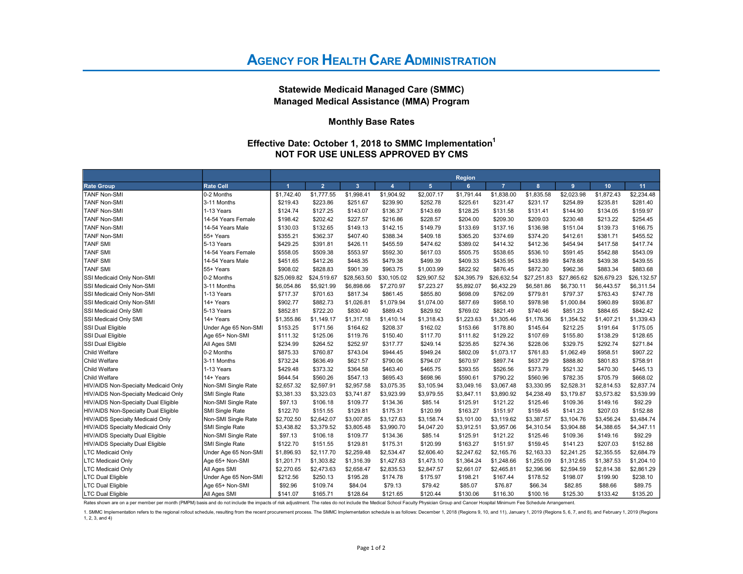# **AGENCY FOR HEALTH CARE ADMINISTRATION**

Statewide Medicaid Managed Care (SMMC) Managed Medical Assistance (MMA) Program

#### Monthly Base Rates

### Effective Date: October 1, 2018 to SMMC Implementation<sup>1</sup> NOT FOR USE UNLESS APPROVED BY CMS

|                                      |                      |             |                |                         |                  |                 | <b>Region</b> |                |             |             |                 |             |
|--------------------------------------|----------------------|-------------|----------------|-------------------------|------------------|-----------------|---------------|----------------|-------------|-------------|-----------------|-------------|
| <b>Rate Group</b>                    | <b>Rate Cell</b>     | 4           | $\overline{2}$ | $\overline{\mathbf{3}}$ | $\boldsymbol{A}$ | $5\phantom{.0}$ | 6             | $\overline{7}$ | 8           | 9           | 10 <sub>1</sub> | 11          |
| <b>TANF Non-SMI</b>                  | 0-2 Months           | \$1,742.40  | \$1,777.55     | \$1,998.41              | \$1,904.92       | \$2,007.17      | \$1,791.44    | \$1,838.00     | \$1,835.58  | \$2,023.98  | \$1,872.43      | \$2,234.48  |
| <b>TANF Non-SMI</b>                  | 3-11 Months          | \$219.43    | \$223.86       | \$251.67                | \$239.90         | \$252.78        | \$225.61      | \$231.47       | \$231.17    | \$254.89    | \$235.81        | \$281.40    |
| TANF Non-SMI                         | 1-13 Years           | \$124.74    | \$127.25       | \$143.07                | \$136.37         | \$143.69        | \$128.25      | \$131.58       | \$131.41    | \$144.90    | \$134.05        | \$159.97    |
| <b>TANF Non-SMI</b>                  | 14-54 Years Female   | \$198.42    | \$202.42       | \$227.57                | \$216.86         | \$228.57        | \$204.00      | \$209.30       | \$209.03    | \$230.48    | \$213.22        | \$254.45    |
| <b>TANF Non-SMI</b>                  | 14-54 Years Male     | \$130.03    | \$132.65       | \$149.13                | \$142.15         | \$149.79        | \$133.69      | \$137.16       | \$136.98    | \$151.04    | \$139.73        | \$166.75    |
| <b>TANF Non-SMI</b>                  | 55+ Years            | \$355.21    | \$362.37       | \$407.40                | \$388.34         | \$409.18        | \$365.20      | \$374.69       | \$374.20    | \$412.61    | \$381.71        | \$455.52    |
| <b>TANF SMI</b>                      | 5-13 Years           | \$429.25    | \$391.81       | \$426.11                | \$455.59         | \$474.62        | \$389.02      | \$414.32       | \$412.36    | \$454.94    | \$417.58        | \$417.74    |
| <b>TANF SMI</b>                      | 14-54 Years Female   | \$558.05    | \$509.38       | \$553.97                | \$592.30         | \$617.03        | \$505.75      | \$538.65       | \$536.10    | \$591.45    | \$542.88        | \$543.09    |
| <b>TANF SMI</b>                      | 14-54 Years Male     | \$451.65    | \$412.26       | \$448.35                | \$479.38         | \$499.39        | \$409.33      | \$435.95       | \$433.89    | \$478.68    | \$439.38        | \$439.55    |
| <b>TANF SMI</b>                      | 155+ Years           | \$908.02    | \$828.83       | \$901.39                | \$963.75         | \$1,003.99      | \$822.92      | \$876.45       | \$872.30    | \$962.36    | \$883.34        | \$883.68    |
| SSI Medicaid Only Non-SMI            | I0-2 Months          | \$25,069.82 | \$24,519.67    | \$28,563.50             | \$30,105.02      | \$29,907.52     | \$24,395.79   | \$26,632.54    | \$27,251.83 | \$27,865.62 | \$26,679.23     | \$26,132.57 |
| SSI Medicaid Only Non-SMI            | 3-11 Months          | \$6,054.86  | \$5,921.99     | \$6,898.66              | \$7,270.97       | \$7,223.27      | \$5,892.07    | \$6,432.29     | \$6,581.86  | \$6,730.11  | \$6,443.57      | \$6,311.54  |
| SSI Medicaid Only Non-SMI            | 1-13 Years           | \$717.37    | \$701.63       | \$817.34                | \$861.45         | \$855.80        | \$698.09      | \$762.09       | \$779.81    | \$797.37    | \$763.43        | \$747.78    |
| SSI Medicaid Only Non-SMI            | 14+ Years            | \$902.77    | \$882.73       | \$1,026.81              | \$1,079.94       | \$1,074.00      | \$877.69      | \$958.10       | \$978.98    | \$1,000.84  | \$960.89        | \$936.87    |
| SSI Medicaid Only SMI                | 5-13 Years           | \$852.81    | \$722.20       | \$830.40                | \$889.43         | \$829.92        | \$769.02      | \$821.49       | \$740.46    | \$851.23    | \$884.65        | \$842.42    |
| SSI Medicaid Only SMI                | 14+ Years            | \$1,355.86  | \$1,149.17     | \$1,317.18              | \$1,410.14       | \$1,318.43      | \$1,223.63    | \$1,305.46     | \$1,176.36  | \$1,354.52  | \$1,407.21      | \$1,339.43  |
| <b>SSI Dual Eligible</b>             | Under Age 65 Non-SMI | \$153.25    | \$171.56       | \$164.62                | \$208.37         | \$162.02        | \$153.66      | \$178.80       | \$145.64    | \$212.25    | \$191.64        | \$175.05    |
| <b>SSI Dual Eligible</b>             | Age 65+ Non-SMI      | \$111.32    | \$125.06       | \$119.76                | \$150.40         | \$117.70        | \$111.82      | \$129.22       | \$107.69    | \$155.80    | \$138.29        | \$128.65    |
| <b>SSI Dual Eligible</b>             | All Ages SMI         | \$234.99    | \$264.52       | \$252.97                | \$317.77         | \$249.14        | \$235.85      | \$274.36       | \$228.06    | \$329.75    | \$292.74        | \$271.84    |
| Child Welfare                        | 0-2 Months           | \$875.33    | \$760.87       | \$743.04                | \$944.45         | \$949.24        | \$802.09      | \$1,073.17     | \$761.83    | \$1,062.49  | \$958.51        | \$907.22    |
| Child Welfare                        | 3-11 Months          | \$732.24    | \$636.49       | \$621.57                | \$790.06         | \$794.07        | \$670.97      | \$897.74       | \$637.29    | \$888.80    | \$801.83        | \$758.91    |
| <b>Child Welfare</b>                 | 1-13 Years           | \$429.48    | \$373.32       | \$364.58                | \$463.40         | \$465.75        | \$393.55      | \$526.56       | \$373.79    | \$521.32    | \$470.30        | \$445.13    |
| <b>Child Welfare</b>                 | 14+ Years            | \$644.54    | \$560.26       | \$547.13                | \$695.43         | \$698.96        | \$590.61      | \$790.22       | \$560.96    | \$782.35    | \$705.79        | \$668.02    |
| HIV/AIDS Non-Specialty Medicaid Only | Non-SMI Single Rate  | \$2,657.32  | \$2,597.91     | \$2,957.58              | \$3,075.35       | \$3,105.94      | \$3,049.16    | \$3,067.48     | \$3,330.95  | \$2,528.31  | \$2,814.53      | \$2,837.74  |
| HIV/AIDS Non-Specialty Medicaid Only | SMI Single Rate      | \$3,381.33  | \$3,323.03     | \$3,741.87              | \$3,923.99       | \$3,979.55      | \$3,847.11    | \$3,890.92     | \$4,238.49  | \$3,179.87  | \$3,573.82      | \$3,539.99  |
| HIV/AIDS Non-Specialty Dual Eligible | Non-SMI Single Rate  | \$97.13     | \$106.18       | \$109.77                | \$134.36         | \$85.14         | \$125.91      | \$121.22       | \$125.46    | \$109.36    | \$149.16        | \$92.29     |
| HIV/AIDS Non-Specialty Dual Eligible | SMI Single Rate      | \$122.70    | \$151.55       | \$129.81                | \$175.31         | \$120.99        | \$163.27      | \$151.97       | \$159.45    | \$141.23    | \$207.03        | \$152.88    |
| HIV/AIDS Specialty Medicaid Only     | Non-SMI Single Rate  | \$2,702.50  | \$2,642.07     | \$3,007.85              | \$3,127.63       | \$3,158.74      | \$3,101.00    | \$3,119.62     | \$3,387.57  | \$3,104.76  | \$3,456.24      | \$3,484.74  |
| HIV/AIDS Specialty Medicaid Only     | SMI Single Rate      | \$3,438.82  | \$3,379.52     | \$3,805.48              | \$3,990.70       | \$4,047.20      | \$3,912.51    | \$3,957.06     | \$4,310.54  | \$3,904.88  | \$4,388.65      | \$4,347.11  |
| HIV/AIDS Specialty Dual Eligible     | Non-SMI Single Rate  | \$97.13     | \$106.18       | \$109.77                | \$134.36         | \$85.14         | \$125.91      | \$121.22       | \$125.46    | \$109.36    | \$149.16        | \$92.29     |
| HIV/AIDS Specialty Dual Eligible     | SMI Single Rate      | \$122.70    | \$151.55       | \$129.81                | \$175.31         | \$120.99        | \$163.27      | \$151.97       | \$159.45    | \$141.23    | \$207.03        | \$152.88    |
| <b>LTC Medicaid Only</b>             | Under Age 65 Non-SMI | \$1,896.93  | \$2,117.70     | \$2,259.48              | \$2,534.47       | \$2,606.40      | \$2,247.62    | \$2,165.76     | \$2,163.33  | \$2,241.25  | \$2,355.55      | \$2,684.79  |
| <b>LTC Medicaid Only</b>             | Age 65+ Non-SMI      | \$1,201.71  | \$1,303.82     | \$1,316.39              | \$1,427.63       | \$1,473.10      | \$1,364.24    | \$1,248.66     | \$1,255.09  | \$1,312.65  | \$1,387.53      | \$1,204.10  |
| LTC Medicaid Only                    | All Ages SMI         | \$2,270.65  | \$2,473.63     | \$2,658.47              | \$2,835.53       | \$2,847.57      | \$2,661.07    | \$2,465.81     | \$2,396.96  | \$2,594.59  | \$2,814.38      | \$2,861.29  |
| <b>LTC Dual Eligible</b>             | Under Age 65 Non-SMI | \$212.56    | \$250.13       | \$195.28                | \$174.78         | \$175.97        | \$198.21      | \$167.44       | \$178.52    | \$198.07    | \$199.90        | \$238.10    |
| <b>LTC Dual Eligible</b>             | Age 65+ Non-SMI      | \$92.96     | \$109.74       | \$84.04                 | \$79.13          | \$79.42         | \$85.07       | \$76.87        | \$66.34     | \$82.85     | \$88.66         | \$89.75     |
| <b>LTC Dual Eligible</b>             | All Ages SMI         | \$141.07    | \$165.71       | \$128.64                | \$121.65         | \$120.44        | \$130.06      | \$116.30       | \$100.16    | \$125.30    | \$133.42        | \$135.20    |

Rates shown are on a per member per month (PMPM) basis and do not include the impacts of risk adjustment. The rates do not include the Medical School Faculty Physician Group and Cancer Hospital Minimum Fee Schedule Arrange

1. SMMC Implementation refers to the regional rollout schedule, resulting from the recent procurement process. The SMMC Implementation schedule is as follows: December 1, 2018 (Regions 9, 10, and 11), January 1, 2019 (Regi 1, 2, 3, and 4)